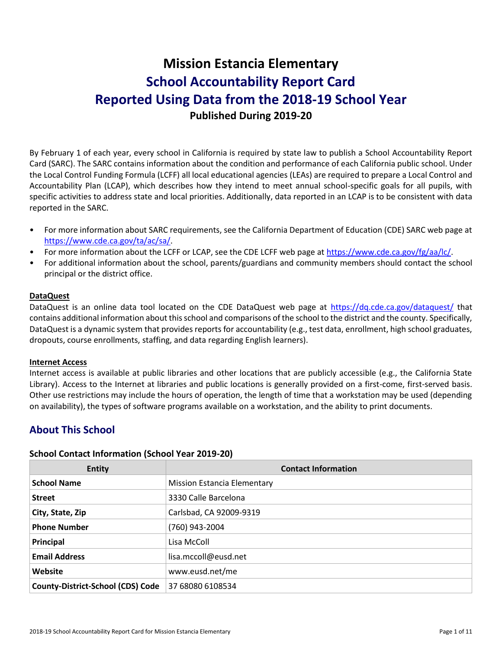# **Mission Estancia Elementary School Accountability Report Card Reported Using Data from the 2018-19 School Year Published During 2019-20**

By February 1 of each year, every school in California is required by state law to publish a School Accountability Report Card (SARC). The SARC contains information about the condition and performance of each California public school. Under the Local Control Funding Formula (LCFF) all local educational agencies (LEAs) are required to prepare a Local Control and Accountability Plan (LCAP), which describes how they intend to meet annual school-specific goals for all pupils, with specific activities to address state and local priorities. Additionally, data reported in an LCAP is to be consistent with data reported in the SARC.

- For more information about SARC requirements, see the California Department of Education (CDE) SARC web page at [https://www.cde.ca.gov/ta/ac/sa/.](https://www.cde.ca.gov/ta/ac/sa/)
- For more information about the LCFF or LCAP, see the CDE LCFF web page at [https://www.cde.ca.gov/fg/aa/lc/.](https://www.cde.ca.gov/fg/aa/lc/)
- For additional information about the school, parents/guardians and community members should contact the school principal or the district office.

### **DataQuest**

DataQuest is an online data tool located on the CDE DataQuest web page at<https://dq.cde.ca.gov/dataquest/> that contains additional information about this school and comparisons of the school to the district and the county. Specifically, DataQuest is a dynamic system that provides reports for accountability (e.g., test data, enrollment, high school graduates, dropouts, course enrollments, staffing, and data regarding English learners).

### **Internet Access**

Internet access is available at public libraries and other locations that are publicly accessible (e.g., the California State Library). Access to the Internet at libraries and public locations is generally provided on a first-come, first-served basis. Other use restrictions may include the hours of operation, the length of time that a workstation may be used (depending on availability), the types of software programs available on a workstation, and the ability to print documents.

# **About This School**

### **School Contact Information (School Year 2019-20)**

| <b>Entity</b>                            | <b>Contact Information</b>         |
|------------------------------------------|------------------------------------|
| <b>School Name</b>                       | <b>Mission Estancia Elementary</b> |
| <b>Street</b>                            | 3330 Calle Barcelona               |
| City, State, Zip                         | Carlsbad, CA 92009-9319            |
| <b>Phone Number</b>                      | (760) 943-2004                     |
| Principal                                | Lisa McColl                        |
| <b>Email Address</b>                     | lisa.mccoll@eusd.net               |
| Website                                  | www.eusd.net/me                    |
| <b>County-District-School (CDS) Code</b> | 37 68080 6108534                   |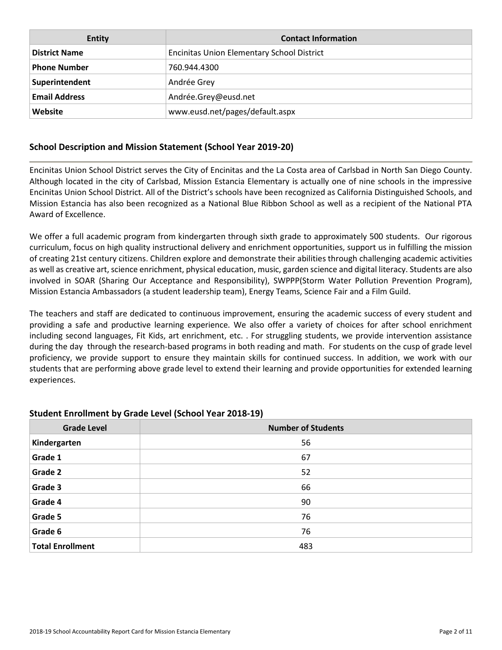| <b>Entity</b>        | <b>Contact Information</b>                        |
|----------------------|---------------------------------------------------|
| <b>District Name</b> | <b>Encinitas Union Elementary School District</b> |
| <b>Phone Number</b>  | 760.944.4300                                      |
| Superintendent       | Andrée Grey                                       |
| <b>Email Address</b> | Andrée.Grey@eusd.net                              |
| Website              | www.eusd.net/pages/default.aspx                   |

### **School Description and Mission Statement (School Year 2019-20)**

Encinitas Union School District serves the City of Encinitas and the La Costa area of Carlsbad in North San Diego County. Although located in the city of Carlsbad, Mission Estancia Elementary is actually one of nine schools in the impressive Encinitas Union School District. All of the District's schools have been recognized as California Distinguished Schools, and Mission Estancia has also been recognized as a National Blue Ribbon School as well as a recipient of the National PTA Award of Excellence.

We offer a full academic program from kindergarten through sixth grade to approximately 500 students. Our rigorous curriculum, focus on high quality instructional delivery and enrichment opportunities, support us in fulfilling the mission of creating 21st century citizens. Children explore and demonstrate their abilities through challenging academic activities as well as creative art, science enrichment, physical education, music, garden science and digital literacy. Students are also involved in SOAR (Sharing Our Acceptance and Responsibility), SWPPP(Storm Water Pollution Prevention Program), Mission Estancia Ambassadors (a student leadership team), Energy Teams, Science Fair and a Film Guild.

The teachers and staff are dedicated to continuous improvement, ensuring the academic success of every student and providing a safe and productive learning experience. We also offer a variety of choices for after school enrichment including second languages, Fit Kids, art enrichment, etc. . For struggling students, we provide intervention assistance during the day through the research-based programs in both reading and math. For students on the cusp of grade level proficiency, we provide support to ensure they maintain skills for continued success. In addition, we work with our students that are performing above grade level to extend their learning and provide opportunities for extended learning experiences.

### **Student Enrollment by Grade Level (School Year 2018-19)**

| <b>Grade Level</b>      | <b>Number of Students</b> |
|-------------------------|---------------------------|
| Kindergarten            | 56                        |
| Grade 1                 | 67                        |
| Grade 2                 | 52                        |
| Grade 3                 | 66                        |
| Grade 4                 | 90                        |
| Grade 5                 | 76                        |
| Grade 6                 | 76                        |
| <b>Total Enrollment</b> | 483                       |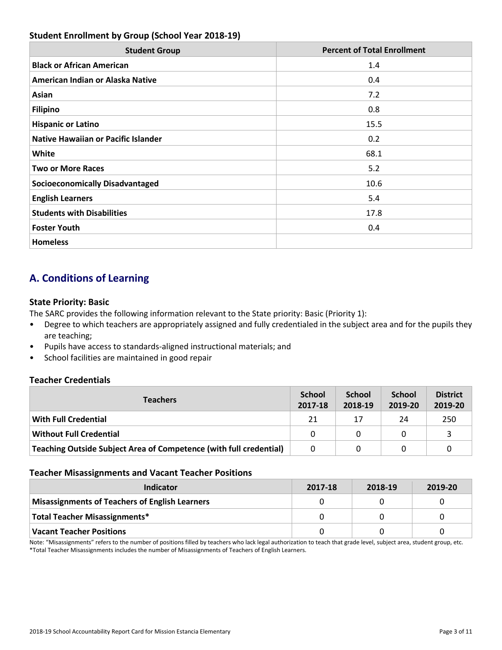# **Student Enrollment by Group (School Year 2018-19)**

| <b>Student Group</b>                       | <b>Percent of Total Enrollment</b> |
|--------------------------------------------|------------------------------------|
| <b>Black or African American</b>           | 1.4                                |
| American Indian or Alaska Native           | 0.4                                |
| Asian                                      | 7.2                                |
| <b>Filipino</b>                            | 0.8                                |
| <b>Hispanic or Latino</b>                  | 15.5                               |
| <b>Native Hawaiian or Pacific Islander</b> | 0.2                                |
| <b>White</b>                               | 68.1                               |
| <b>Two or More Races</b>                   | 5.2                                |
| <b>Socioeconomically Disadvantaged</b>     | 10.6                               |
| <b>English Learners</b>                    | 5.4                                |
| <b>Students with Disabilities</b>          | 17.8                               |
| <b>Foster Youth</b>                        | 0.4                                |
| <b>Homeless</b>                            |                                    |

# **A. Conditions of Learning**

### **State Priority: Basic**

The SARC provides the following information relevant to the State priority: Basic (Priority 1):

- Degree to which teachers are appropriately assigned and fully credentialed in the subject area and for the pupils they are teaching;
- Pupils have access to standards-aligned instructional materials; and
- School facilities are maintained in good repair

### **Teacher Credentials**

| <b>Teachers</b>                                                    | <b>School</b><br>2017-18 | <b>School</b><br>2018-19 | <b>School</b><br>2019-20 | <b>District</b><br>2019-20 |
|--------------------------------------------------------------------|--------------------------|--------------------------|--------------------------|----------------------------|
| With Full Credential                                               | 21                       | 17                       | 24                       | 250                        |
| <b>Without Full Credential</b>                                     | $\Omega$                 |                          | 0                        |                            |
| Teaching Outside Subject Area of Competence (with full credential) | $\Omega$                 |                          |                          |                            |

### **Teacher Misassignments and Vacant Teacher Positions**

| Indicator                                             | 2017-18 | 2018-19 | 2019-20 |
|-------------------------------------------------------|---------|---------|---------|
| <b>Misassignments of Teachers of English Learners</b> |         |         |         |
| Total Teacher Misassignments*                         |         |         |         |
| Vacant Teacher Positions                              |         |         |         |

Note: "Misassignments" refers to the number of positions filled by teachers who lack legal authorization to teach that grade level, subject area, student group, etc. \*Total Teacher Misassignments includes the number of Misassignments of Teachers of English Learners.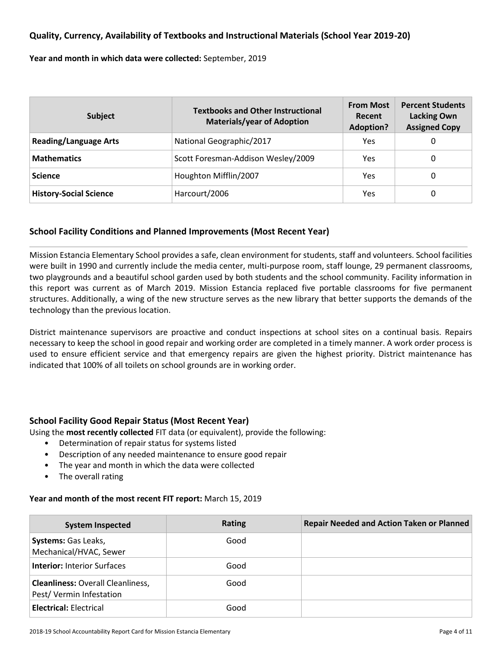### **Quality, Currency, Availability of Textbooks and Instructional Materials (School Year 2019-20)**

**Year and month in which data were collected:** September, 2019

| <b>Subject</b>                | <b>Textbooks and Other Instructional</b><br><b>Materials/year of Adoption</b> | <b>From Most</b><br>Recent<br><b>Adoption?</b> | <b>Percent Students</b><br><b>Lacking Own</b><br><b>Assigned Copy</b> |  |
|-------------------------------|-------------------------------------------------------------------------------|------------------------------------------------|-----------------------------------------------------------------------|--|
| <b>Reading/Language Arts</b>  | National Geographic/2017                                                      | Yes                                            | 0                                                                     |  |
| <b>Mathematics</b>            | Scott Foresman-Addison Wesley/2009                                            | Yes                                            | 0                                                                     |  |
| <b>Science</b>                | Houghton Mifflin/2007                                                         | Yes                                            | 0                                                                     |  |
| <b>History-Social Science</b> | Harcourt/2006                                                                 | Yes                                            | 0                                                                     |  |

### **School Facility Conditions and Planned Improvements (Most Recent Year)**

Mission Estancia Elementary School provides a safe, clean environment for students, staff and volunteers. School facilities were built in 1990 and currently include the media center, multi-purpose room, staff lounge, 29 permanent classrooms, two playgrounds and a beautiful school garden used by both students and the school community. Facility information in this report was current as of March 2019. Mission Estancia replaced five portable classrooms for five permanent structures. Additionally, a wing of the new structure serves as the new library that better supports the demands of the technology than the previous location.

District maintenance supervisors are proactive and conduct inspections at school sites on a continual basis. Repairs necessary to keep the school in good repair and working order are completed in a timely manner. A work order process is used to ensure efficient service and that emergency repairs are given the highest priority. District maintenance has indicated that 100% of all toilets on school grounds are in working order.

### **School Facility Good Repair Status (Most Recent Year)**

Using the **most recently collected** FIT data (or equivalent), provide the following:

- Determination of repair status for systems listed
- Description of any needed maintenance to ensure good repair
- The year and month in which the data were collected
- The overall rating

### **Year and month of the most recent FIT report:** March 15, 2019

| <b>System Inspected</b>                                             | <b>Rating</b> | <b>Repair Needed and Action Taken or Planned</b> |
|---------------------------------------------------------------------|---------------|--------------------------------------------------|
| <b>Systems:</b> Gas Leaks,<br>Mechanical/HVAC, Sewer                | Good          |                                                  |
| <b>Interior: Interior Surfaces</b>                                  | Good          |                                                  |
| <b>Cleanliness: Overall Cleanliness,</b><br>Pest/Vermin Infestation | Good          |                                                  |
| <b>Electrical: Electrical</b>                                       | Good          |                                                  |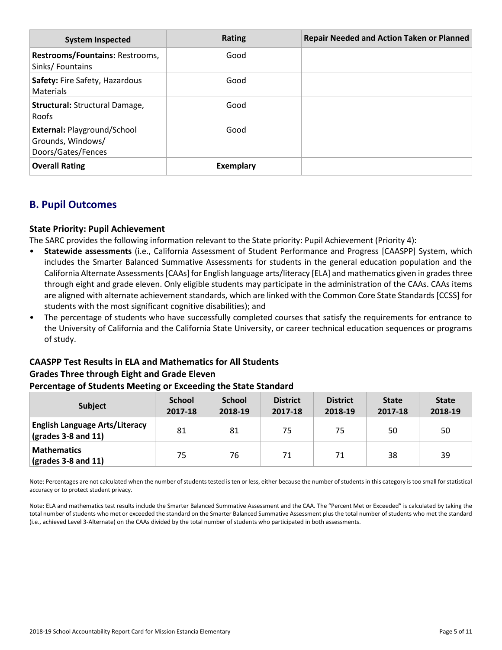| <b>System Inspected</b>                                                       | Rating    | <b>Repair Needed and Action Taken or Planned</b> |
|-------------------------------------------------------------------------------|-----------|--------------------------------------------------|
| Restrooms/Fountains: Restrooms,<br>Sinks/Fountains                            | Good      |                                                  |
| Safety: Fire Safety, Hazardous<br>Materials                                   | Good      |                                                  |
| Structural: Structural Damage,<br><b>Roofs</b>                                | Good      |                                                  |
| <b>External: Playground/School</b><br>Grounds, Windows/<br>Doors/Gates/Fences | Good      |                                                  |
| <b>Overall Rating</b>                                                         | Exemplary |                                                  |

# **B. Pupil Outcomes**

### **State Priority: Pupil Achievement**

The SARC provides the following information relevant to the State priority: Pupil Achievement (Priority 4):

- **Statewide assessments** (i.e., California Assessment of Student Performance and Progress [CAASPP] System, which includes the Smarter Balanced Summative Assessments for students in the general education population and the California Alternate Assessments [CAAs] for English language arts/literacy [ELA] and mathematics given in grades three through eight and grade eleven. Only eligible students may participate in the administration of the CAAs. CAAs items are aligned with alternate achievement standards, which are linked with the Common Core State Standards [CCSS] for students with the most significant cognitive disabilities); and
- The percentage of students who have successfully completed courses that satisfy the requirements for entrance to the University of California and the California State University, or career technical education sequences or programs of study.

# **CAASPP Test Results in ELA and Mathematics for All Students Grades Three through Eight and Grade Eleven**

### **Percentage of Students Meeting or Exceeding the State Standard**

| <b>Subject</b>                                                        | <b>School</b><br>2017-18 | <b>School</b><br>2018-19 | <b>District</b><br>2017-18 | <b>District</b><br>2018-19 | <b>State</b><br>2017-18 | <b>State</b><br>2018-19 |
|-----------------------------------------------------------------------|--------------------------|--------------------------|----------------------------|----------------------------|-------------------------|-------------------------|
| <b>English Language Arts/Literacy</b><br>$\sqrt{(grades 3-8 and 11)}$ | 81                       | 81                       | 75                         | 75                         | 50                      | 50                      |
| <b>Mathematics</b><br>$\vert$ (grades 3-8 and 11)                     | 75                       | 76                       | 71                         | 71                         | 38                      | 39                      |

Note: Percentages are not calculated when the number of students tested is ten or less, either because the number of students in this category is too small for statistical accuracy or to protect student privacy.

Note: ELA and mathematics test results include the Smarter Balanced Summative Assessment and the CAA. The "Percent Met or Exceeded" is calculated by taking the total number of students who met or exceeded the standard on the Smarter Balanced Summative Assessment plus the total number of students who met the standard (i.e., achieved Level 3-Alternate) on the CAAs divided by the total number of students who participated in both assessments.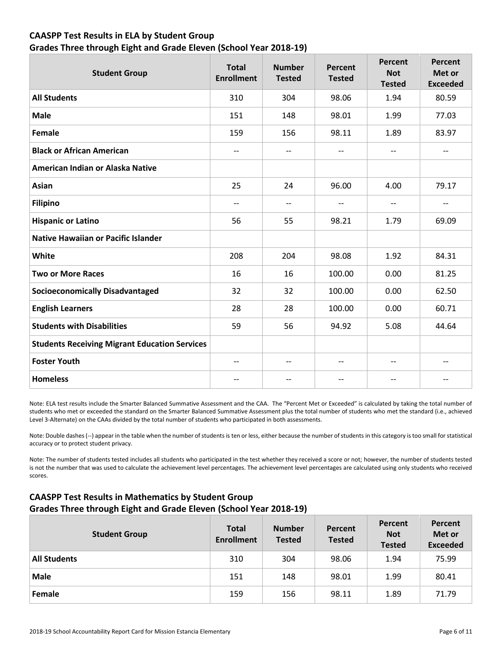# **CAASPP Test Results in ELA by Student Group Grades Three through Eight and Grade Eleven (School Year 2018-19)**

| <b>Student Group</b>                                 | <b>Total</b><br><b>Enrollment</b> | <b>Number</b><br><b>Tested</b> | <b>Percent</b><br><b>Tested</b> | Percent<br><b>Not</b><br><b>Tested</b> | <b>Percent</b><br>Met or<br><b>Exceeded</b> |
|------------------------------------------------------|-----------------------------------|--------------------------------|---------------------------------|----------------------------------------|---------------------------------------------|
| <b>All Students</b>                                  | 310                               | 304                            | 98.06                           | 1.94                                   | 80.59                                       |
| <b>Male</b>                                          | 151                               | 148                            | 98.01                           | 1.99                                   | 77.03                                       |
| Female                                               | 159                               | 156                            | 98.11                           | 1.89                                   | 83.97                                       |
| <b>Black or African American</b>                     | --                                | $\overline{\phantom{a}}$       | $\qquad \qquad -$               | $- -$                                  | --                                          |
| American Indian or Alaska Native                     |                                   |                                |                                 |                                        |                                             |
| <b>Asian</b>                                         | 25                                | 24                             | 96.00                           | 4.00                                   | 79.17                                       |
| <b>Filipino</b>                                      | $-$                               | $\overline{a}$                 | $-$                             | $\overline{\phantom{a}}$               | --                                          |
| <b>Hispanic or Latino</b>                            | 56                                | 55                             | 98.21                           | 1.79                                   | 69.09                                       |
| <b>Native Hawaiian or Pacific Islander</b>           |                                   |                                |                                 |                                        |                                             |
| White                                                | 208                               | 204                            | 98.08                           | 1.92                                   | 84.31                                       |
| <b>Two or More Races</b>                             | 16                                | 16                             | 100.00                          | 0.00                                   | 81.25                                       |
| <b>Socioeconomically Disadvantaged</b>               | 32                                | 32                             | 100.00                          | 0.00                                   | 62.50                                       |
| <b>English Learners</b>                              | 28                                | 28                             | 100.00                          | 0.00                                   | 60.71                                       |
| <b>Students with Disabilities</b>                    | 59                                | 56                             | 94.92                           | 5.08                                   | 44.64                                       |
| <b>Students Receiving Migrant Education Services</b> |                                   |                                |                                 |                                        |                                             |
| <b>Foster Youth</b>                                  | $\overline{\phantom{m}}$          | $-$                            | $\overline{\phantom{m}}$        | $-$                                    | $\overline{\phantom{m}}$                    |
| <b>Homeless</b>                                      | $-$                               |                                | $-$                             | $-$                                    | $-$                                         |

Note: ELA test results include the Smarter Balanced Summative Assessment and the CAA. The "Percent Met or Exceeded" is calculated by taking the total number of students who met or exceeded the standard on the Smarter Balanced Summative Assessment plus the total number of students who met the standard (i.e., achieved Level 3-Alternate) on the CAAs divided by the total number of students who participated in both assessments.

Note: Double dashes (--) appear in the table when the number of students is ten or less, either because the number of students in this category is too small for statistical accuracy or to protect student privacy.

Note: The number of students tested includes all students who participated in the test whether they received a score or not; however, the number of students tested is not the number that was used to calculate the achievement level percentages. The achievement level percentages are calculated using only students who received scores.

# **CAASPP Test Results in Mathematics by Student Group Grades Three through Eight and Grade Eleven (School Year 2018-19)**

| <b>Student Group</b> | <b>Total</b><br><b>Enrollment</b> | <b>Number</b><br><b>Tested</b> | Percent<br><b>Tested</b> | Percent<br><b>Not</b><br><b>Tested</b> | Percent<br>Met or<br><b>Exceeded</b> |
|----------------------|-----------------------------------|--------------------------------|--------------------------|----------------------------------------|--------------------------------------|
| <b>All Students</b>  | 310                               | 304                            | 98.06                    | 1.94                                   | 75.99                                |
| <b>Male</b>          | 151                               | 148                            | 98.01                    | 1.99                                   | 80.41                                |
| Female               | 159                               | 156                            | 98.11                    | 1.89                                   | 71.79                                |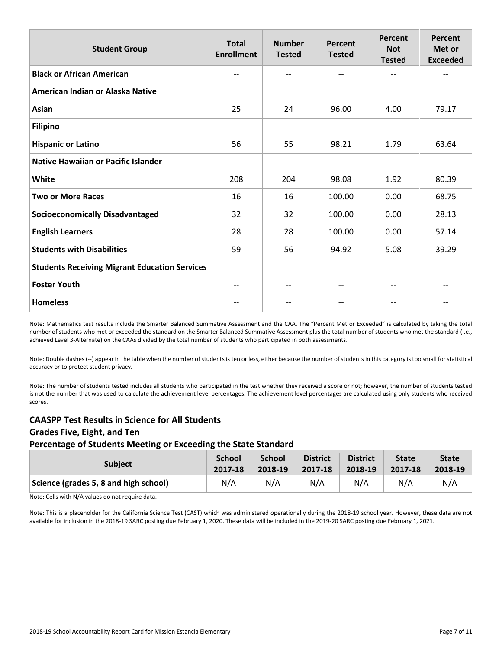| <b>Student Group</b>                                 | <b>Total</b><br><b>Enrollment</b> | <b>Number</b><br><b>Tested</b> | Percent<br><b>Tested</b>      | Percent<br><b>Not</b><br><b>Tested</b> | Percent<br>Met or<br><b>Exceeded</b> |
|------------------------------------------------------|-----------------------------------|--------------------------------|-------------------------------|----------------------------------------|--------------------------------------|
| <b>Black or African American</b>                     | --                                | --                             | $\overline{\phantom{a}}$      | --                                     | --                                   |
| American Indian or Alaska Native                     |                                   |                                |                               |                                        |                                      |
| Asian                                                | 25                                | 24                             | 96.00                         | 4.00                                   | 79.17                                |
| <b>Filipino</b>                                      | $-$                               | --                             | $\overline{\phantom{a}}$      | $-$                                    | --                                   |
| <b>Hispanic or Latino</b>                            | 56                                | 55                             | 98.21                         | 1.79                                   | 63.64                                |
| <b>Native Hawaiian or Pacific Islander</b>           |                                   |                                |                               |                                        |                                      |
| White                                                | 208                               | 204                            | 98.08                         | 1.92                                   | 80.39                                |
| <b>Two or More Races</b>                             | 16                                | 16                             | 100.00                        | 0.00                                   | 68.75                                |
| <b>Socioeconomically Disadvantaged</b>               | 32                                | 32                             | 100.00                        | 0.00                                   | 28.13                                |
| <b>English Learners</b>                              | 28                                | 28                             | 100.00                        | 0.00                                   | 57.14                                |
| <b>Students with Disabilities</b>                    | 59                                | 56                             | 94.92                         | 5.08                                   | 39.29                                |
| <b>Students Receiving Migrant Education Services</b> |                                   |                                |                               |                                        |                                      |
| <b>Foster Youth</b>                                  | $-\!$ $\!-$                       | --                             | $\hspace{0.05cm} \textbf{--}$ | --                                     | --                                   |
| <b>Homeless</b>                                      |                                   |                                | --                            |                                        |                                      |

Note: Mathematics test results include the Smarter Balanced Summative Assessment and the CAA. The "Percent Met or Exceeded" is calculated by taking the total number of students who met or exceeded the standard on the Smarter Balanced Summative Assessment plus the total number of students who met the standard (i.e., achieved Level 3-Alternate) on the CAAs divided by the total number of students who participated in both assessments.

Note: Double dashes (--) appear in the table when the number of students is ten or less, either because the number of students in this category is too small for statistical accuracy or to protect student privacy.

Note: The number of students tested includes all students who participated in the test whether they received a score or not; however, the number of students tested is not the number that was used to calculate the achievement level percentages. The achievement level percentages are calculated using only students who received scores.

# **CAASPP Test Results in Science for All Students Grades Five, Eight, and Ten Percentage of Students Meeting or Exceeding the State Standard**

| <b>Subject</b>                        | <b>School</b> | <b>School</b> | <b>District</b> | <b>District</b> | <b>State</b> | <b>State</b> |
|---------------------------------------|---------------|---------------|-----------------|-----------------|--------------|--------------|
|                                       | 2017-18       | 2018-19       | 2017-18         | 2018-19         | 2017-18      | 2018-19      |
| Science (grades 5, 8 and high school) | N/A           | N/A           | N/A             | N/A             | N/A          | N/A          |

Note: Cells with N/A values do not require data.

Note: This is a placeholder for the California Science Test (CAST) which was administered operationally during the 2018-19 school year. However, these data are not available for inclusion in the 2018-19 SARC posting due February 1, 2020. These data will be included in the 2019-20 SARC posting due February 1, 2021.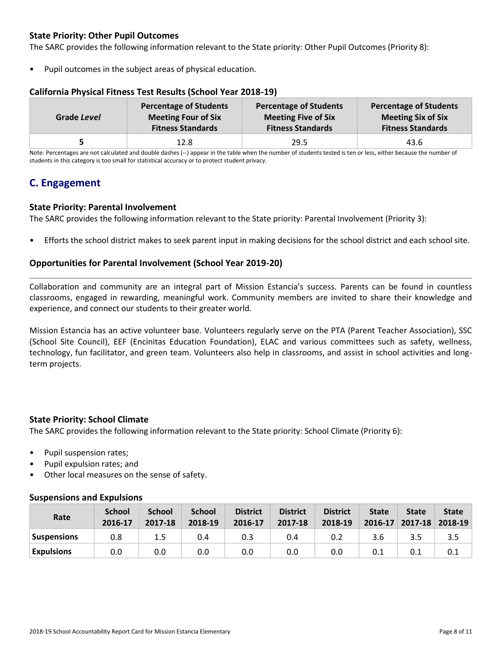# **State Priority: Other Pupil Outcomes**

The SARC provides the following information relevant to the State priority: Other Pupil Outcomes (Priority 8):

Pupil outcomes in the subject areas of physical education.

### **California Physical Fitness Test Results (School Year 2018-19)**

| Grade Level | <b>Percentage of Students</b> | <b>Percentage of Students</b> | <b>Percentage of Students</b> |
|-------------|-------------------------------|-------------------------------|-------------------------------|
|             | <b>Meeting Four of Six</b>    | <b>Meeting Five of Six</b>    | <b>Meeting Six of Six</b>     |
|             | <b>Fitness Standards</b>      | <b>Fitness Standards</b>      | <b>Fitness Standards</b>      |
|             | 12.8                          | 29.5                          | 43.6                          |

Note: Percentages are not calculated and double dashes (--) appear in the table when the number of students tested is ten or less, either because the number of students in this category is too small for statistical accuracy or to protect student privacy.

# **C. Engagement**

### **State Priority: Parental Involvement**

The SARC provides the following information relevant to the State priority: Parental Involvement (Priority 3):

• Efforts the school district makes to seek parent input in making decisions for the school district and each school site.

### **Opportunities for Parental Involvement (School Year 2019-20)**

Collaboration and community are an integral part of Mission Estancia's success. Parents can be found in countless classrooms, engaged in rewarding, meaningful work. Community members are invited to share their knowledge and experience, and connect our students to their greater world.

Mission Estancia has an active volunteer base. Volunteers regularly serve on the PTA (Parent Teacher Association), SSC (School Site Council), EEF (Encinitas Education Foundation), ELAC and various committees such as safety, wellness, technology, fun facilitator, and green team. Volunteers also help in classrooms, and assist in school activities and longterm projects.

### **State Priority: School Climate**

The SARC provides the following information relevant to the State priority: School Climate (Priority 6):

- Pupil suspension rates;
- Pupil expulsion rates; and
- Other local measures on the sense of safety.

### **Suspensions and Expulsions**

| Rate              | <b>School</b><br>2016-17 | <b>School</b><br>2017-18 | <b>School</b><br>2018-19 | <b>District</b><br>2016-17 | <b>District</b><br>2017-18 | <b>District</b><br>2018-19 | <b>State</b><br>2016-17 | <b>State</b> | <b>State</b><br>$2017 - 18$ 2018-19 |
|-------------------|--------------------------|--------------------------|--------------------------|----------------------------|----------------------------|----------------------------|-------------------------|--------------|-------------------------------------|
| Suspensions       | 0.8                      | 1.5                      | 0.4                      |                            | 0.4                        | 0.2                        | 3.6                     | 3.5          | 3.5                                 |
| <b>Expulsions</b> | 0.0                      | 0.0                      | 0.0                      | 0.0                        | 0.0                        | 0.0                        | 0.1                     | 0.1          | 0.1                                 |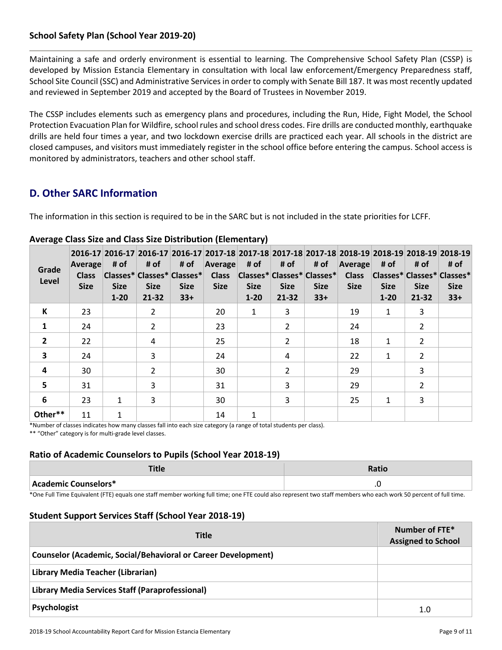# **School Safety Plan (School Year 2019-20)**

Maintaining a safe and orderly environment is essential to learning. The Comprehensive School Safety Plan (CSSP) is developed by Mission Estancia Elementary in consultation with local law enforcement/Emergency Preparedness staff, School Site Council (SSC) and Administrative Services in order to comply with Senate Bill 187. It was most recently updated and reviewed in September 2019 and accepted by the Board of Trustees in November 2019.

The CSSP includes elements such as emergency plans and procedures, including the Run, Hide, Fight Model, the School Protection Evacuation Plan for Wildfire, school rules and school dress codes. Fire drills are conducted monthly, earthquake drills are held four times a year, and two lockdown exercise drills are practiced each year. All schools in the district are closed campuses, and visitors must immediately register in the school office before entering the campus. School access is monitored by administrators, teachers and other school staff.

# **D. Other SARC Information**

The information in this section is required to be in the SARC but is not included in the state priorities for LCFF.

| Grade<br>Level          | Average<br><b>Class</b><br><b>Size</b> | # of<br><b>Size</b><br>$1 - 20$ | # of<br><b>Size</b><br>$21 - 32$ | # of<br> Classes* Classes* Classes* <br><b>Size</b><br>$33+$ | <b>Average</b><br><b>Class</b><br><b>Size</b> | # of<br><b>Size</b><br>$1 - 20$ | # of<br><b>Size</b><br>$21 - 32$ | # of<br> Classes* Classes* Classes* <br><b>Size</b><br>$33+$ | Average<br><b>Class</b><br><b>Size</b> | # of<br>Classes* Classes* Classes*<br><b>Size</b><br>$1 - 20$ | # of<br><b>Size</b><br>21-32 | 2016-17 2016-17 2016-17 2016-17 2017-18 2017-18 2017-18 2017-18 2017-18 2018-19 2018-19 2018-19 2018-19<br># of<br><b>Size</b><br>$33+$ |
|-------------------------|----------------------------------------|---------------------------------|----------------------------------|--------------------------------------------------------------|-----------------------------------------------|---------------------------------|----------------------------------|--------------------------------------------------------------|----------------------------------------|---------------------------------------------------------------|------------------------------|-----------------------------------------------------------------------------------------------------------------------------------------|
| К                       | 23                                     |                                 | $\overline{2}$                   |                                                              | 20                                            | $\mathbf{1}$                    | 3                                |                                                              | 19                                     | 1                                                             | 3                            |                                                                                                                                         |
| $\mathbf{1}$            | 24                                     |                                 | $\overline{2}$                   |                                                              | 23                                            |                                 | $\mathfrak{p}$                   |                                                              | 24                                     |                                                               | 2                            |                                                                                                                                         |
| $\overline{2}$          | 22                                     |                                 | 4                                |                                                              | 25                                            |                                 | $\overline{\phantom{a}}$         |                                                              | 18                                     | $\mathbf{1}$                                                  | 2                            |                                                                                                                                         |
| $\overline{\mathbf{3}}$ | 24                                     |                                 | 3                                |                                                              | 24                                            |                                 | 4                                |                                                              | 22                                     | $\mathbf{1}$                                                  | $\overline{2}$               |                                                                                                                                         |
| 4                       | 30                                     |                                 | $\overline{2}$                   |                                                              | 30                                            |                                 | $\overline{2}$                   |                                                              | 29                                     |                                                               | 3                            |                                                                                                                                         |
| 5                       | 31                                     |                                 | 3                                |                                                              | 31                                            |                                 | 3                                |                                                              | 29                                     |                                                               | 2                            |                                                                                                                                         |
| 6                       | 23                                     | 1                               | 3                                |                                                              | 30                                            |                                 | 3                                |                                                              | 25                                     | 1                                                             | 3                            |                                                                                                                                         |
| Other**                 | 11                                     | 1                               |                                  |                                                              | 14                                            | 1                               |                                  |                                                              |                                        |                                                               |                              |                                                                                                                                         |

### **Average Class Size and Class Size Distribution (Elementary)**

\*Number of classes indicates how many classes fall into each size category (a range of total students per class). \*\* "Other" category is for multi-grade level classes.

### **Ratio of Academic Counselors to Pupils (School Year 2018-19)**

| .                    | Ratio             |
|----------------------|-------------------|
| Academic Counselors* | $\cdot$<br>$\sim$ |

\*One Full Time Equivalent (FTE) equals one staff member working full time; one FTE could also represent two staff members who each work 50 percent of full time.

### **Student Support Services Staff (School Year 2018-19)**

| <b>Title</b>                                                  | Number of FTE*<br><b>Assigned to School</b> |  |  |  |
|---------------------------------------------------------------|---------------------------------------------|--|--|--|
| Counselor (Academic, Social/Behavioral or Career Development) |                                             |  |  |  |
| Library Media Teacher (Librarian)                             |                                             |  |  |  |
| Library Media Services Staff (Paraprofessional)               |                                             |  |  |  |
| Psychologist                                                  | 1.0                                         |  |  |  |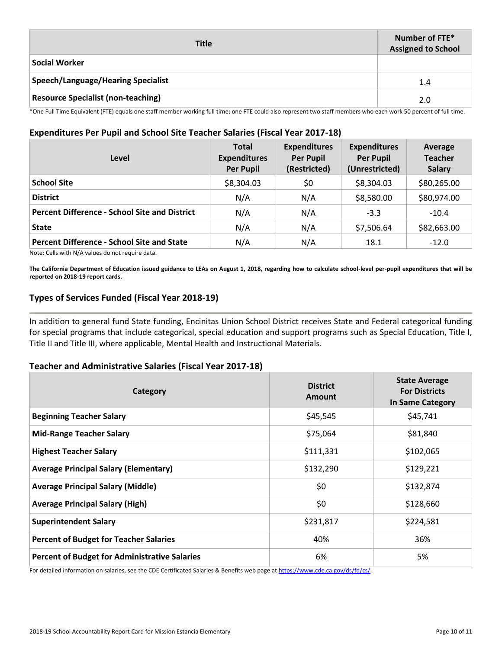| <b>Title</b>                              | Number of FTE*<br><b>Assigned to School</b> |
|-------------------------------------------|---------------------------------------------|
| <b>Social Worker</b>                      |                                             |
| Speech/Language/Hearing Specialist        | 1.4                                         |
| <b>Resource Specialist (non-teaching)</b> | 2.0                                         |

\*One Full Time Equivalent (FTE) equals one staff member working full time; one FTE could also represent two staff members who each work 50 percent of full time.

### **Expenditures Per Pupil and School Site Teacher Salaries (Fiscal Year 2017-18)**

| Level                                                | <b>Total</b><br><b>Expenditures</b><br><b>Per Pupil</b> | <b>Expenditures</b><br><b>Per Pupil</b><br>(Restricted) | <b>Expenditures</b><br><b>Per Pupil</b><br>(Unrestricted) | Average<br><b>Teacher</b><br><b>Salary</b> |
|------------------------------------------------------|---------------------------------------------------------|---------------------------------------------------------|-----------------------------------------------------------|--------------------------------------------|
| <b>School Site</b>                                   | \$8,304.03                                              | \$0                                                     | \$8,304.03                                                | \$80,265.00                                |
| <b>District</b>                                      | N/A                                                     | N/A                                                     | \$8,580.00                                                | \$80,974.00                                |
| <b>Percent Difference - School Site and District</b> | N/A                                                     | N/A                                                     | $-3.3$                                                    | $-10.4$                                    |
| <b>State</b>                                         | N/A                                                     | N/A                                                     | \$7,506.64                                                | \$82,663.00                                |
| <b>Percent Difference - School Site and State</b>    | N/A                                                     | N/A                                                     | 18.1                                                      | $-12.0$                                    |

Note: Cells with N/A values do not require data.

**The California Department of Education issued guidance to LEAs on August 1, 2018, regarding how to calculate school-level per-pupil expenditures that will be reported on 2018-19 report cards.**

### **Types of Services Funded (Fiscal Year 2018-19)**

In addition to general fund State funding, Encinitas Union School District receives State and Federal categorical funding for special programs that include categorical, special education and support programs such as Special Education, Title I, Title II and Title III, where applicable, Mental Health and Instructional Materials.

### **Teacher and Administrative Salaries (Fiscal Year 2017-18)**

| Category                                             | <b>District</b><br>Amount | <b>State Average</b><br><b>For Districts</b><br>In Same Category |
|------------------------------------------------------|---------------------------|------------------------------------------------------------------|
| <b>Beginning Teacher Salary</b>                      | \$45,545                  | \$45,741                                                         |
| <b>Mid-Range Teacher Salary</b>                      | \$75,064                  | \$81,840                                                         |
| <b>Highest Teacher Salary</b>                        | \$111,331                 | \$102,065                                                        |
| <b>Average Principal Salary (Elementary)</b>         | \$132,290                 | \$129,221                                                        |
| <b>Average Principal Salary (Middle)</b>             | \$0                       | \$132,874                                                        |
| <b>Average Principal Salary (High)</b>               | \$0                       | \$128,660                                                        |
| <b>Superintendent Salary</b>                         | \$231,817                 | \$224,581                                                        |
| <b>Percent of Budget for Teacher Salaries</b>        | 40%                       | 36%                                                              |
| <b>Percent of Budget for Administrative Salaries</b> | 6%                        | 5%                                                               |

For detailed information on salaries, see the CDE Certificated Salaries & Benefits web page at https://www.cde.ca.gov/ds/fd/cs/.